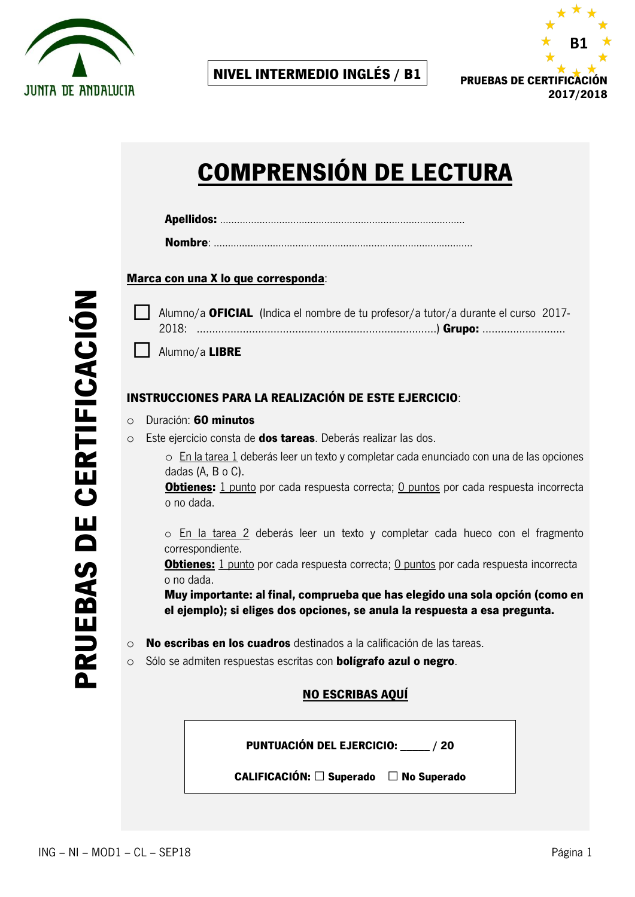



# **COMPRENSIÓN DE LECTURA**

|--|

#### **Marca con una X lo que corresponda**:

|       | Alumno/a <b>OFICIAL</b> (Indica el nombre de tu profesor/a tutor/a durante el curso 2017- |  |
|-------|-------------------------------------------------------------------------------------------|--|
| 2018: |                                                                                           |  |

Alumno/a **LIBRE** 

#### **INSTRUCCIONES PARA LA REALIZACIÓN DE ESTE EJERCICIO**:

- o Duración: **60 minutos**
- o Este ejercicio consta de **dos tareas**. Deberás realizar las dos.
	- o En la tarea 1 deberás leer un texto y completar cada enunciado con una de las opciones dadas (A, B o C).

**Obtienes:** 1 punto por cada respuesta correcta; 0 puntos por cada respuesta incorrecta o no dada.

o En la tarea 2 deberás leer un texto y completar cada hueco con el fragmento correspondiente.

**Obtienes:** 1 punto por cada respuesta correcta; 0 puntos por cada respuesta incorrecta o no dada.

**Muy importante: al final, comprueba que has elegido una sola opción (como en el ejemplo); si eliges dos opciones, se anula la respuesta a esa pregunta.**

- o **No escribas en los cuadros** destinados a la calificación de las tareas.
- o Sólo se admiten respuestas escritas con **bolígrafo azul o negro**.

#### **NO ESCRIBAS AQUÍ**

**PUNTUACIÓN DEL EJERCICIO: \_\_\_\_\_ / 20**

**CALIFICACIÓN: □ Superado □ No Superado**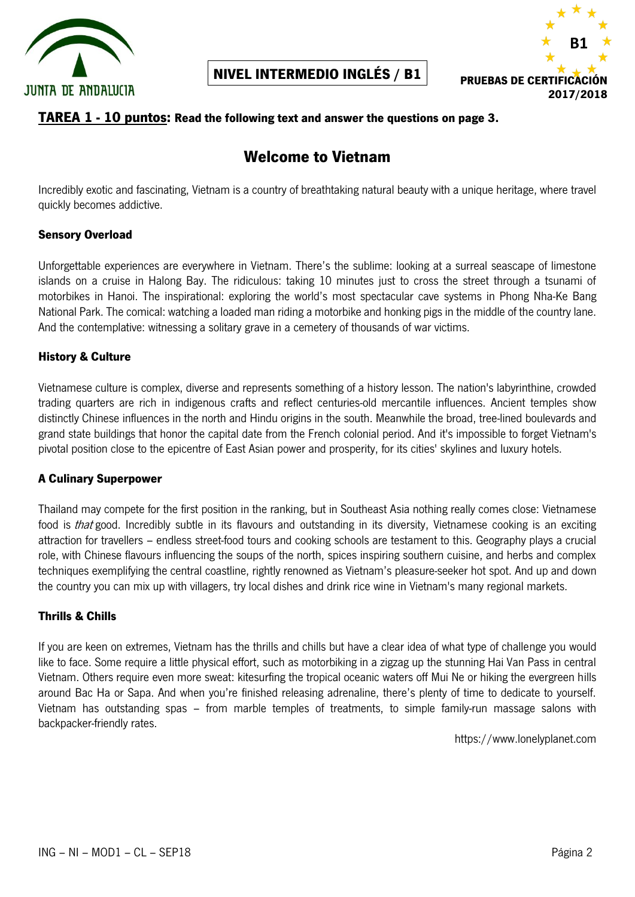



### **TAREA 1 - 10 puntos: Read the following text and answer the questions on page 3.**

## **Welcome to Vietnam**

Incredibly exotic and fascinating, Vietnam is a country of breathtaking natural beauty with a unique heritage, where travel quickly becomes addictive.

#### **Sensory Overload**

Unforgettable experiences are everywhere in Vietnam. There's the sublime: looking at a surreal seascape of limestone islands on a cruise in Halong Bay. The ridiculous: taking 10 minutes just to cross the street through a tsunami of motorbikes in Hanoi. The inspirational: exploring the world's most spectacular cave systems in Phong Nha-Ke Bang National Park. The comical: watching a loaded man riding a motorbike and honking pigs in the middle of the country lane. And the contemplative: witnessing a solitary grave in a cemetery of thousands of war victims.

#### **History & Culture**

Vietnamese culture is complex, diverse and represents something of a history lesson. The nation's labyrinthine, crowded trading quarters are rich in indigenous crafts and reflect centuries-old mercantile influences. Ancient temples show distinctly Chinese influences in the north and Hindu origins in the south. Meanwhile the broad, tree-lined boulevards and grand state buildings that honor the capital date from the French colonial period. And it's impossible to forget Vietnam's pivotal position close to the epicentre of East Asian power and prosperity, for its cities' skylines and luxury hotels.

#### **A Culinary Superpower**

Thailand may compete for the first position in the ranking, but in Southeast Asia nothing really comes close: Vietnamese food is *that* good. Incredibly subtle in its flavours and outstanding in its diversity, Vietnamese cooking is an exciting attraction for travellers – endless street-food tours and cooking schools are testament to this. Geography plays a crucial role, with Chinese flavours influencing the soups of the north, spices inspiring southern cuisine, and herbs and complex techniques exemplifying the central coastline, rightly renowned as Vietnam's pleasure-seeker hot spot. And up and down the country you can mix up with villagers, try local dishes and drink rice wine in Vietnam's many regional markets.

#### **Thrills & Chills**

If you are keen on extremes, Vietnam has the thrills and chills but have a clear idea of what type of challenge you would like to face. Some require a little physical effort, such as motorbiking in a zigzag up the stunning Hai Van Pass in central Vietnam. Others require even more sweat: kitesurfing the tropical oceanic waters off Mui Ne or hiking the evergreen hills around Bac Ha or Sapa. And when you're finished releasing adrenaline, there's plenty of time to dedicate to yourself. Vietnam has outstanding spas – from marble temples of treatments, to simple family-run massage salons with backpacker-friendly rates.

https://www.lonelyplanet.com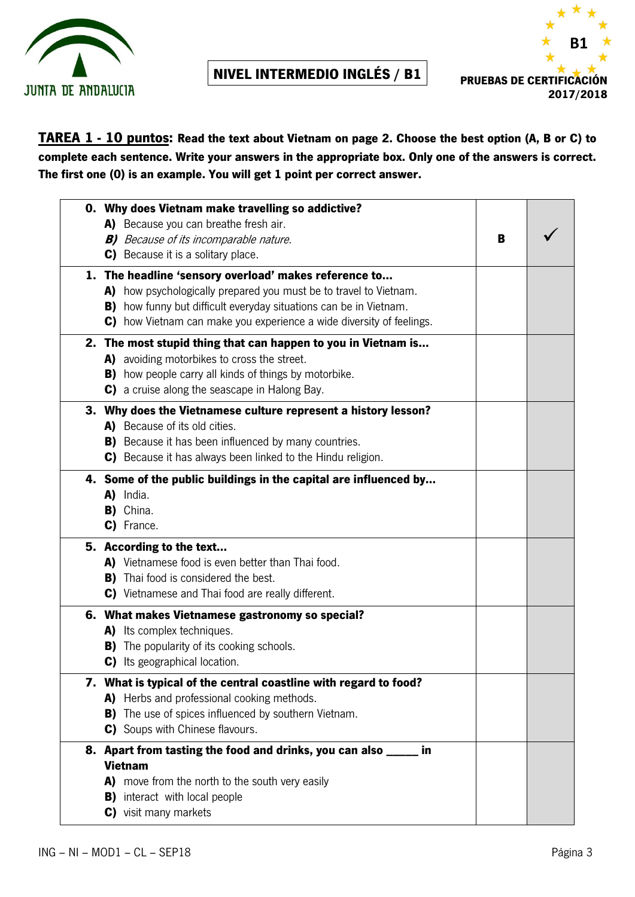



## **TAREA 1 - 10 puntos: Read the text about Vietnam on page 2. Choose the best option (A, B or C) to complete each sentence. Write your answers in the appropriate box. Only one of the answers is correct. The first one (0) is an example. You will get 1 point per correct answer.**

| 0. Why does Vietnam make travelling so addictive?                        |   |  |
|--------------------------------------------------------------------------|---|--|
| A) Because you can breathe fresh air.                                    |   |  |
| <b>B)</b> Because of its incomparable nature.                            | B |  |
| C) Because it is a solitary place.                                       |   |  |
| 1. The headline 'sensory overload' makes reference to                    |   |  |
| A) how psychologically prepared you must be to travel to Vietnam.        |   |  |
| <b>B)</b> how funny but difficult everyday situations can be in Vietnam. |   |  |
| C) how Vietnam can make you experience a wide diversity of feelings.     |   |  |
| 2. The most stupid thing that can happen to you in Vietnam is            |   |  |
| A) avoiding motorbikes to cross the street.                              |   |  |
| <b>B)</b> how people carry all kinds of things by motorbike.             |   |  |
| C) a cruise along the seascape in Halong Bay.                            |   |  |
| 3. Why does the Vietnamese culture represent a history lesson?           |   |  |
| A) Because of its old cities.                                            |   |  |
| <b>B)</b> Because it has been influenced by many countries.              |   |  |
| C) Because it has always been linked to the Hindu religion.              |   |  |
| 4. Some of the public buildings in the capital are influenced by         |   |  |
| A) India.                                                                |   |  |
| B) China.                                                                |   |  |
| C) France.                                                               |   |  |
| 5. According to the text                                                 |   |  |
| A) Vietnamese food is even better than Thai food.                        |   |  |
| <b>B)</b> Thai food is considered the best.                              |   |  |
| C) Vietnamese and Thai food are really different.                        |   |  |
| 6. What makes Vietnamese gastronomy so special?                          |   |  |
| A) Its complex techniques.                                               |   |  |
| <b>B)</b> The popularity of its cooking schools.                         |   |  |
| C) Its geographical location.                                            |   |  |
| 7. What is typical of the central coastline with regard to food?         |   |  |
| A) Herbs and professional cooking methods.                               |   |  |
| <b>B)</b> The use of spices influenced by southern Vietnam.              |   |  |
| C) Soups with Chinese flavours.                                          |   |  |
| 8. Apart from tasting the food and drinks, you can also _____<br>in      |   |  |
| <b>Vietnam</b>                                                           |   |  |
| A) move from the north to the south very easily                          |   |  |
| <b>B)</b> interact with local people                                     |   |  |
| C) visit many markets                                                    |   |  |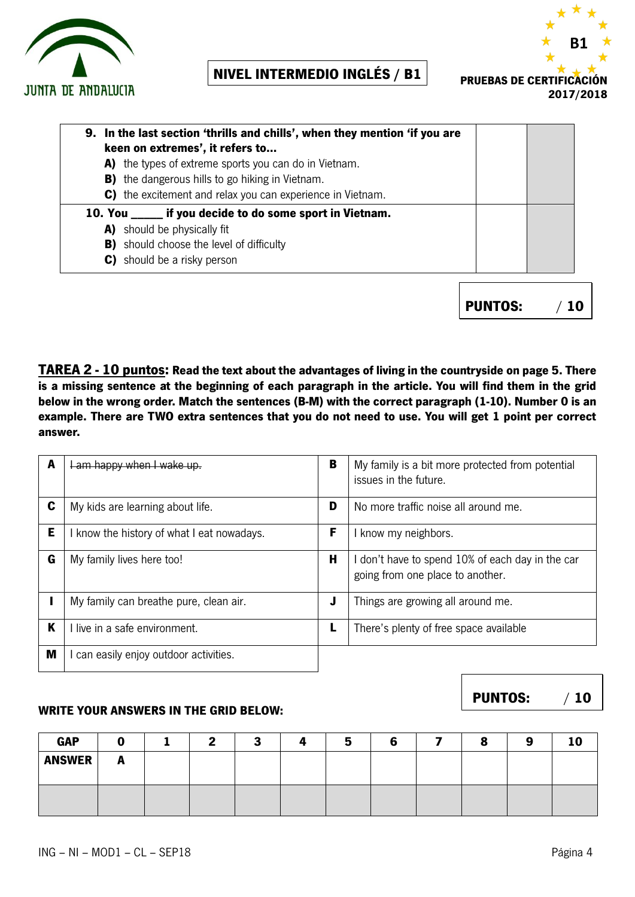



| 9. In the last section 'thrills and chills', when they mention 'if you are |  |  |  |  |  |  |  |
|----------------------------------------------------------------------------|--|--|--|--|--|--|--|
| keen on extremes', it refers to                                            |  |  |  |  |  |  |  |
| A) the types of extreme sports you can do in Vietnam.                      |  |  |  |  |  |  |  |
| <b>B)</b> the dangerous hills to go hiking in Vietnam.                     |  |  |  |  |  |  |  |
| C) the excitement and relax you can experience in Vietnam.                 |  |  |  |  |  |  |  |
| 10. You ______ if you decide to do some sport in Vietnam.                  |  |  |  |  |  |  |  |
| A) should be physically fit                                                |  |  |  |  |  |  |  |
| <b>B)</b> should choose the level of difficulty                            |  |  |  |  |  |  |  |
| C) should be a risky person                                                |  |  |  |  |  |  |  |
|                                                                            |  |  |  |  |  |  |  |

**PUNTOS:** / **10**

**TAREA 2 - 10 puntos: Read the text about the advantages of living in the countryside on page 5. There is a missing sentence at the beginning of each paragraph in the article. You will find them in the grid below in the wrong order. Match the sentences (B-M) with the correct paragraph (1-10). Number 0 is an example. There are TWO extra sentences that you do not need to use. You will get 1 point per correct answer.**

| A | Lam happy when I wake up.                | B | My family is a bit more protected from potential<br>issues in the future.            |  |  |  |
|---|------------------------------------------|---|--------------------------------------------------------------------------------------|--|--|--|
| C | My kids are learning about life.         | D | No more traffic noise all around me.                                                 |  |  |  |
| Е | know the history of what I eat nowadays. | F | I know my neighbors.                                                                 |  |  |  |
| G | My family lives here too!                | Н | I don't have to spend 10% of each day in the car<br>going from one place to another. |  |  |  |
|   | My family can breathe pure, clean air.   | J | Things are growing all around me.                                                    |  |  |  |
| K | l live in a safe environment.            | ш | There's plenty of free space available                                               |  |  |  |
| M | can easily enjoy outdoor activities.     |   |                                                                                      |  |  |  |

#### **WRITE YOUR ANSWERS IN THE GRID BELOW:**

| <b>GAP</b>    |   | ., | ٠<br> |  |  | $\mathbf{a}$<br>œ | 10 |
|---------------|---|----|-------|--|--|-------------------|----|
| <b>ANSWER</b> | n |    |       |  |  |                   |    |
|               |   |    |       |  |  |                   |    |
|               |   |    |       |  |  |                   |    |
|               |   |    |       |  |  |                   |    |

**PUNTOS:** / **10**